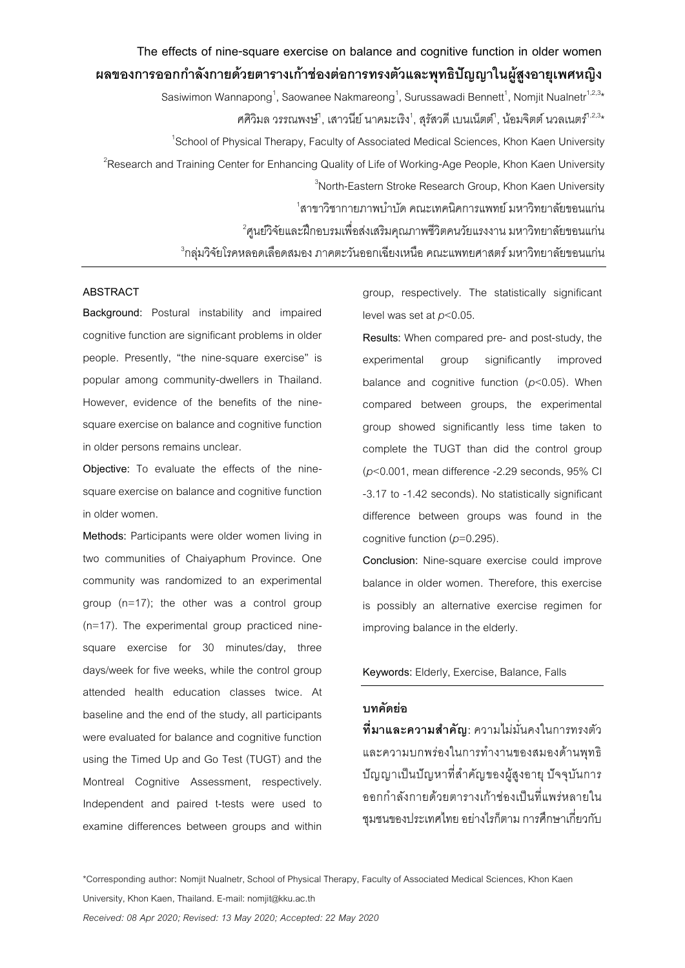# **The effects of nine-square exercise on balance and cognitive function in older women ผลของการออกกา ลังกายด้วยตารางเก้าช่องต่อการทรงตัวและพุทธิปัญญาในผู้สูงอายุเพศหญิง** Sasiwimon Wannapong $^1$ , Saowanee Nakmareong $^1$ , Surussawadi Bennett $^1$ , Nomjit Nualnetr $^{1,2,3\star}$ ศศิวิมล วรรณพงษ์<sup>า</sup>, เสาวนีย์ นาคมะเริง<sup>1</sup>, สุรัสวดี เบนเน็ตต์<sup>า</sup>, น้อมจิตต์ นวลเนตร์<sup>า,2,3</sup>\* <sup>1</sup>School of Physical Therapy, Faculty of Associated Medical Sciences, Khon Kaen University  $^2$ Research and Training Center for Enhancing Quality of Life of Working-Age People, Khon Kaen University  ${}^{3}$ North-Eastern Stroke Research Group, Khon Kaen University  $^{\rm 1}$ สาขาวิชากายภาพบำบัด คณะเทคนิคการแพทย์ มหาวิทยาลัยขอนแก่น  $^2$ ศูนย์วิจัยและฝึกอบรมเพื่อส่งเสริมคุณภาพชีวิตคนวัยแรงงาน มหาวิทยาลัยขอนแก่น  $^3$ กลุ่มวิจัยโรคหลอดเลือดสมอง ภาคตะวันออกเฉียงเหนือ คณะแพทยศาสตร์ มหาวิทยาลัยขอนแก่น

## **ABSTRACT**

**Background:** Postural instability and impaired cognitive function are significant problems in older people. Presently, "the nine-square exercise" is popular among community-dwellers in Thailand. However, evidence of the benefits of the ninesquare exercise on balance and cognitive function in older persons remains unclear.

**Objective:** To evaluate the effects of the ninesquare exercise on balance and cognitive function in older women.

**Methods:** Participants were older women living in two communities of Chaiyaphum Province. One community was randomized to an experimental group (n=17); the other was a control group (n=17). The experimental group practiced ninesquare exercise for 30 minutes/day, three days/week for five weeks, while the control group attended health education classes twice. At baseline and the end of the study, all participants were evaluated for balance and cognitive function using the Timed Up and Go Test (TUGT) and the Montreal Cognitive Assessment, respectively. Independent and paired t-tests were used to examine differences between groups and within

group, respectively. The statistically significant level was set at *p*<0.05.

**Results:** When compared pre- and post-study, the experimental group significantly improved balance and cognitive function (*p*<0.05). When compared between groups, the experimental group showed significantly less time taken to complete the TUGT than did the control group (*p*<0.001, mean difference -2.29 seconds, 95% CI -3.17 to -1.42 seconds). No statistically significant difference between groups was found in the cognitive function (*p*=0.295).

**Conclusion:** Nine-square exercise could improve balance in older women. Therefore, this exercise is possibly an alternative exercise regimen for improving balance in the elderly.

# **Keywords:** Elderly, Exercise, Balance, Falls

# **บทคัดย่อ**

**ที่มาและความส าคัญ:** ความไม่มั่นคงในการทรงตัว และความบกพร่องในการท างานของสมองด้านพุทธิ ปัญญาเป็นปัญหาที่ส าคัญของผู้สูงอายุ ปัจจุบันการ ออกก าลังกายด้วยตารางเก้าช่องเป็ นที่แพร่หลายใน ชุมชนของประเทศไทย อย่างไรก็ตาม การศึกษาเกี่ยวกับ

**\*Corresponding author:** Nomjit Nualnetr, School of Physical Therapy, Faculty of Associated Medical Sciences, Khon Kaen University, Khon Kaen, Thailand. E-mail: nomjit@kku.ac.th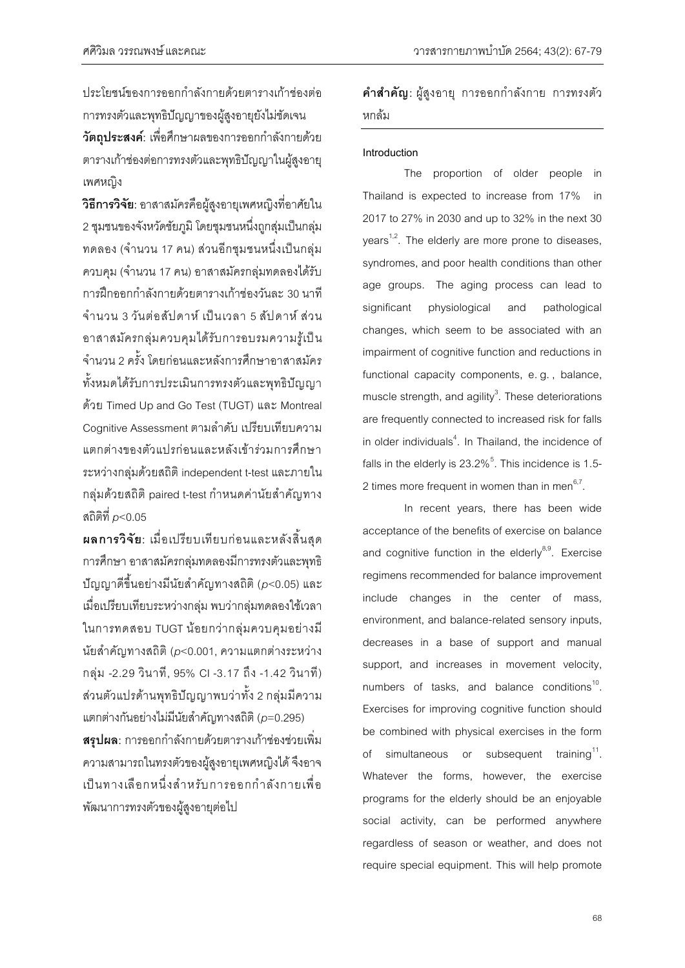ประโยชน์ของการออกก าลังกายด้วยตารางเก้าช่องต่อ การทรงตัวและพุทธิปัญญาของผู้สูงอายุยังไม่ชัดเจน **วัตถุประสงค์**: เพื่อศึกษาผลของการออกกำลังกายด้วย ตารางเก้าช่องต่อการทรงตัวและพุทธิปัญญาในผู้สูงอายุ เพศหญิง

**วิธีการวิจัย:**อาสาสมัครคือผู้สูงอายุเพศหญิงที่อาศัยใน 2ชุมชนของจังหวัดชัยภูมิ โดยชุมชนหนึ่งถูกสุ่มเป็นกลุ่ม ิทดลอง (จำนวน 17 คน) ส่วนอีกชมชนหนึ่งเป็นกล่ม ควบคม (จำนวน 17 คน) อาสาสมัครกล่มทดลองได้รับ การฝึกออกก าลังกายด้วยตารางเก้าช่องวันละ 30 นาที จ านวน 3 วันต่อสัปดาห์ เป็ นเวลา 5 สัปดาห์ ส่วน อาสาสมัครกลุ่มควบคุมได้รับการอบรมความรู้เป็น จ านวน 2 ครั้ง โดยก่อนและหลังการศึกษาอาสาสมัคร ทั้งหมดได้รับการประเมินการทรงตัวและพุทธิปัญญา ด้วย Timed Up and Go Test (TUGT) และ Montreal Cognitive Assessment ตามลำดับ เปรียบเทียบความ แตกต่างของตัวแปรก่อนและหลังเข้าร่วมการศึกษา ระหว่างกลุ่มด้วยสถิติ independent t-testและภายใน กลุ่มด้วยสถิติ paired t-test กำหนดค่านัยสำคัญทาง สถิติที่ *p*<0.05

**ผลการวิจัย:** เมื่อเปรียบเทียบก่อนและหลังสิ้นสุด การศึกษา อาสาสมัครกลุ่มทดลองมีการทรงตัวและพุทธิ ปัญญาดีขึ้นอย่างมีนัยส าคัญทางสถิติ (*p*<0.05) และ เมื่อเปรียบเทียบระหว่างกลุ่ม พบว่ากลุ่มทดลองใช้เวลา ในการทดสอบ TUGT น้อยกว่ากลุ่มควบคุมอย่างมี นัยสำคัญทางสถิติ (*p*<0.001, ความแตกต่างระหว่าง กลุ่ม -2.29 วินาที, 95% CI -3.17 ถึง -1.42 วินาที) ส่วนตัวแปรด้านพุทธิปัญญาพบว่าทั้ง 2 กลุ่มมีความ แตกต่างกันอย่างไม่มีนัยส าคัญทางสถิติ (*p*=0.295) **ี สรุปผล**: การออกกำลังกายด้วยตารางเก้าช่องช่วยเพิ่ม ความสามารถในทรงตัวของผู้สูงอายุเพศหญิงได้ จึงอาจ เป็ นทางเลือกหนึ่งส าหรับการออกก าลังกายเพื่อ พัฒนาการทรงตัวของผู้สูงอายุต่อไป

**ค าส าคัญ:** ผู้สูงอายุ การออกก าลังกาย การทรงตัว หกล้ม

# **Introduction**

The proportion of older people in Thailand is expected to increase from 17% in 2017 to 27% in 2030 and up to 32% in the next 30 years<sup>1,2</sup>. The elderly are more prone to diseases, syndromes, and poor health conditions than other age groups. The aging process can lead to significant physiological and pathological changes, which seem to be associated with an impairment of cognitive function and reductions in functional capacity components, e. g. , balance, muscle strength, and agility $3$ . These deteriorations are frequently connected to increased risk for falls in older individuals $4$ . In Thailand, the incidence of falls in the elderly is 23.2% $^5$ . This incidence is 1.5-2 times more frequent in women than in men $67$ . .

In recent years, there has been wide acceptance of the benefits of exercise on balance and cognitive function in the elderly<sup>8,9</sup>. Exercise regimens recommended for balance improvement include changes in the center of mass, environment, and balance-related sensory inputs, decreases in a base of support and manual support, and increases in movement velocity, numbers of tasks, and balance conditions<sup>10</sup>. Exercises for improving cognitive function should be combined with physical exercises in the form of simultaneous or subsequent training $^{11}$ . Whatever the forms, however, the exercise programs for the elderly should be an enjoyable social activity, can be performed anywhere regardless of season or weather, and does not require special equipment. This will help promote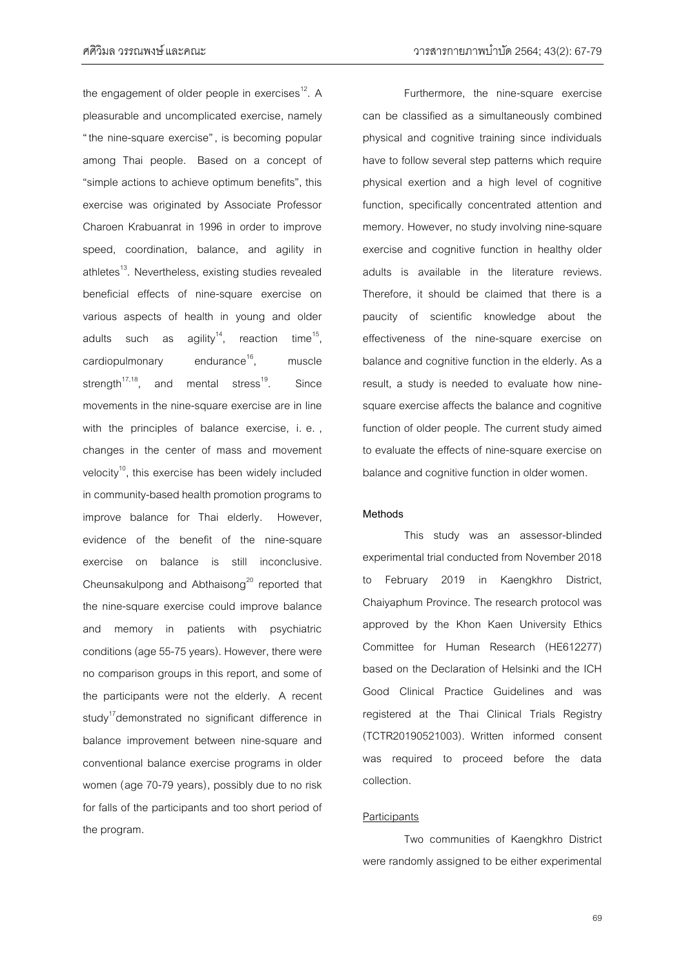the engagement of older people in exercises<sup>12</sup>. A pleasurable and uncomplicated exercise, namely "the nine-square exercise", is becoming popular among Thai people. Based on a concept of "simple actions to achieve optimum benefits", this exercise was originated by Associate Professor Charoen Krabuanrat in 1996 in order to improve speed, coordination, balance, and agility in athletes<sup>13</sup>. Nevertheless, existing studies revealed beneficial effects of nine-square exercise on various aspects of health in young and older adults such as agility<sup>14</sup>, reaction time $15$ . cardiopulmonary endurance $^{16}$ . muscle strength $17,18$ , and mental stress $19$ . . Since movements in the nine-square exercise are in line with the principles of balance exercise, i. e. , changes in the center of mass and movement velocity<sup>10</sup>, this exercise has been widely included in community-based health promotion programs to improve balance for Thai elderly. However, evidence of the benefit of the nine-square exercise on balance is still inconclusive. Cheunsakulpong and Abthaisong<sup>20</sup> reported that the nine-square exercise could improve balance and memory in patients with psychiatric conditions(age 55-75 years). However, there were no comparison groups in this report, and some of the participants were not the elderly. A recent study<sup>17</sup>demonstrated no significant difference in balance improvement between nine-square and conventional balance exercise programs in older women (age 70-79 years), possibly due to no risk for falls of the participants and too short period of the program.

Furthermore, the nine-square exercise can be classified as a simultaneously combined physical and cognitive training since individuals have to follow several step patterns which require physical exertion and a high level of cognitive function, specifically concentrated attention and memory. However, no study involving nine-square exercise and cognitive function in healthy older adults is available in the literature reviews. Therefore, it should be claimed that there is a paucity of scientific knowledge about the effectiveness of the nine-square exercise on balance and cognitive function in the elderly. As a result, a study is needed to evaluate how ninesquare exercise affects the balance and cognitive function of older people. The current study aimed to evaluate the effects of nine-square exercise on balance and cognitive function in older women.

#### **Methods**

This study was an assessor-blinded experimental trial conducted from November 2018 to February 2019 in Kaengkhro District, Chaiyaphum Province. The research protocol was approved by the Khon Kaen University Ethics Committee for Human Research (HE612277) based on the Declaration of Helsinki and the ICH Good Clinical Practice Guidelines and was registered at the Thai Clinical Trials Registry (TCTR20190521003). Written informed consent was required to proceed before the data collection.

#### **Participants**

Two communities of Kaengkhro District were randomly assigned to be either experimental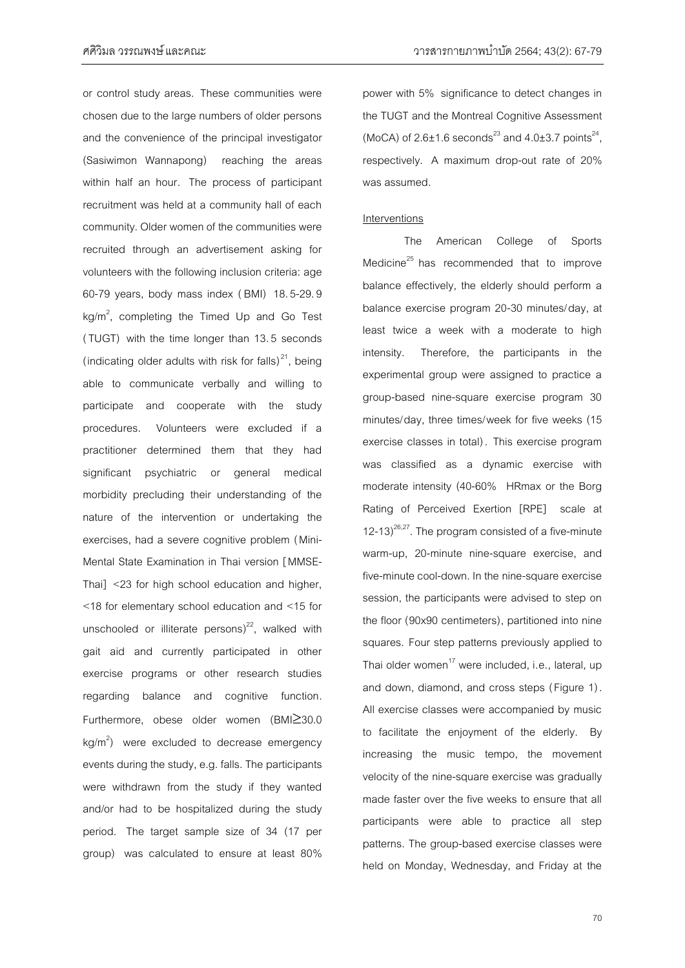or control study areas. These communities were chosen due to the large numbers of older persons and the convenience of the principal investigator (Sasiwimon Wannapong) reaching the areas within half an hour. The process of participant recruitment was held at a community hall of each community. Older women of the communities were recruited through an advertisement asking for volunteers with the following inclusion criteria: age 60-79 years, body mass index ( BMI) 18.5-29.9  $kg/m<sup>2</sup>$ , completing the Timed Up and Go Test (TUGT) with the time longer than 13.5 seconds (indicating older adults with risk for falls) $^{21}$ , being able to communicate verbally and willing to participate and cooperate with the study procedures. Volunteers were excluded if a practitioner determined them that they had significant psychiatric or general medical morbidity precluding their understanding of the nature of the intervention or undertaking the exercises, had a severe cognitive problem (Mini-Mental State Examination in Thai version [MMSE-Thai] <23 for high school education and higher, <18 for elementary school education and <15 for unschooled or illiterate persons) $^{22}$ , walked with gait aid and currently participated in other exercise programs or other research studies regarding balance and cognitive function. Furthermore, obese older women  $(BMI\geq30.0$  $kg/m<sup>2</sup>$ ) were excluded to decrease emergency events during the study, e.g. falls. The participants were withdrawn from the study if they wanted and/or had to be hospitalized during the study period. The target sample size of 34 (17 per group) was calculated to ensure at least 80% power with 5% significance to detect changes in the TUGT and the Montreal Cognitive Assessment (MoCA) of  $2.6 \pm 1.6$  seconds<sup>23</sup> and  $4.0 \pm 3.7$  points<sup>24</sup>, respectively. A maximum drop-out rate of 20% was assumed.

#### **Interventions**

The American College of Sports Medicine $^{25}$  has recommended that to improve balance effectively, the elderly should perform a balance exercise program 20-30 minutes/day, at least twice a week with a moderate to high intensity. Therefore, the participants in the experimental group were assigned to practice a group-based nine-square exercise program 30 minutes/day, three times/week for five weeks (15 exercise classes in total) . This exercise program was classified as a dynamic exercise with moderate intensity (40-60% HRmax or the Borg Rating of Perceived Exertion [RPE] scale at 12-13)<sup>26,27</sup>. The program consisted of a five-minute warm-up, 20-minute nine-square exercise, and five-minute cool-down. In the nine-square exercise session, the participants were advised to step on the floor (90x90 centimeters), partitioned into nine squares. Four step patterns previously applied to Thai older women<sup>17</sup> were included, i.e., lateral, up and down, diamond, and cross steps (Figure 1). All exercise classes were accompanied by music to facilitate the enjoyment of the elderly. By increasing the music tempo, the movement velocity of the nine-square exercise was gradually made faster over the five weeks to ensure that all participants were able to practice all step patterns. The group-based exercise classes were held on Monday, Wednesday, and Friday at the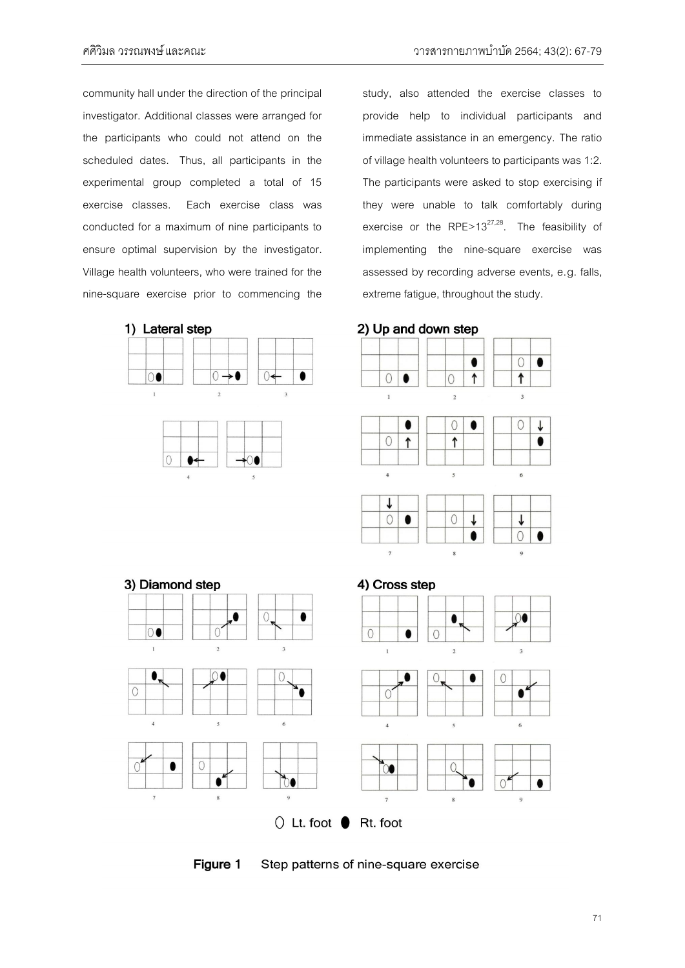community hall under the direction of the principal investigator. Additional classes were arranged for the participants who could not attend on the scheduled dates. Thus, all participants in the experimental group completed a total of 15 exercise classes. Each exercise class was conducted for a maximum of nine participants to ensure optimal supervision by the investigator. Village health volunteers, who were trained for the nine-square exercise prior to commencing the

study, also attended the exercise classes to provide help to individual participants and immediate assistance in an emergency. The ratio of village health volunteers to participants was 1:2. The participants were asked to stop exercising if they were unable to talk comfortably during exercise or the RPE>13 $^{27,28}$ . The feasibility of implementing the nine-square exercise was assessed by recording adverse events, e.g. falls, extreme fatigue, throughout the study.



٥

 $\overline{O}$ 

 $\bigcirc$ 

3) Diamond step

00

 $\bullet$ 

 $\circ$ 

 $\circ$ 

2) Up and down step



Figure 1

 $\circ$ 

 $\bullet$ 

 $\bullet$ 

Step patterns of nine-square exercise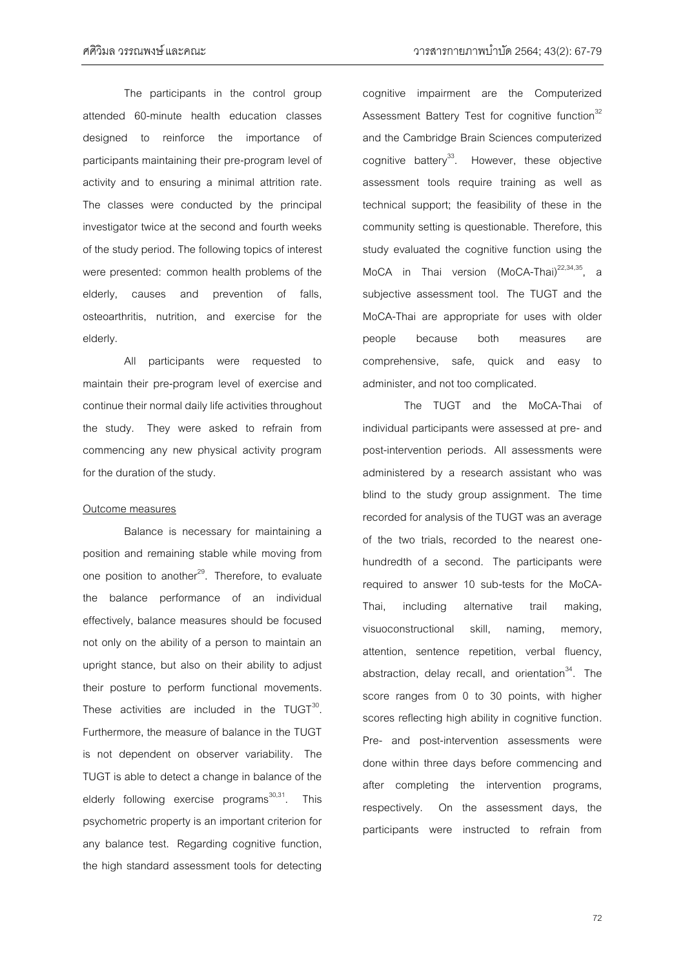The participants in the control group attended 60-minute health education classes designed to reinforce the importance of participants maintaining their pre-program level of activity and to ensuring a minimal attrition rate. The classes were conducted by the principal investigator twice at the second and fourth weeks of the study period. The following topics of interest were presented: common health problems of the elderly, causes and prevention of falls, osteoarthritis, nutrition, and exercise for the elderly.

All participants were requested to maintain their pre-program level of exercise and continue their normal daily life activities throughout the study. They were asked to refrain from commencing any new physical activity program for the duration of the study.

#### Outcome measures

Balance is necessary for maintaining a position and remaining stable while moving from one position to another<sup>29</sup>. Therefore, to evaluate the balance performance of an individual effectively, balance measures should be focused not only on the ability of a person to maintain an upright stance, but also on their ability to adjust their posture to perform functional movements. These activities are included in the  $TUGT^{30}$ . Furthermore, the measure of balance in the TUGT is not dependent on observer variability. The TUGT is able to detect a change in balance of the elderly following exercise programs<sup>30,31</sup>. This psychometric property is an important criterion for any balance test. Regarding cognitive function, the high standard assessment tools for detecting

cognitive impairment are the Computerized Assessment Battery Test for cognitive function<sup>32</sup> and the Cambridge Brain Sciences computerized cognitive battery<sup>33</sup>. However, these objective assessment tools require training as well as technical support; the feasibility of these in the community setting is questionable. Therefore, this study evaluated the cognitive function using the MoCA in Thai version (MoCA-Thai)<sup>22,34,35</sup>, a subjective assessment tool. The TUGT and the MoCA-Thai are appropriate for uses with older people because both measures are comprehensive, safe, quick and easy to administer, and not too complicated.

The TUGT and the MoCA-Thai of individual participants were assessed at pre- and post-intervention periods. All assessments were administered by a research assistant who was blind to the study group assignment. The time recorded for analysis of the TUGT was an average of the two trials, recorded to the nearest onehundredth of a second. The participants were required to answer 10 sub-tests for the MoCA-Thai, including alternative trail making, visuoconstructional skill, naming, memory, attention, sentence repetition, verbal fluency, abstraction, delay recall, and orientation $34$ . The score ranges from 0 to 30 points, with higher scores reflecting high ability in cognitive function. Pre- and post-intervention assessments were done within three days before commencing and after completing the intervention programs, respectively. On the assessment days, the participants were instructed to refrain from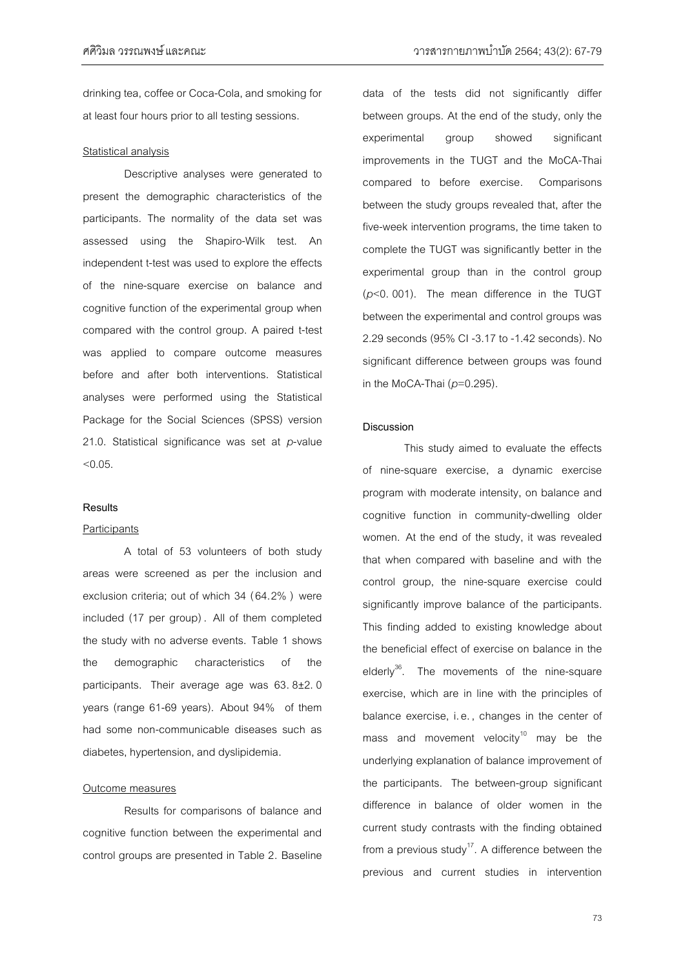drinking tea, coffee or Coca-Cola, and smoking for at least four hours prior to all testing sessions.

#### Statistical analysis

Descriptive analyses were generated to present the demographic characteristics of the participants. The normality of the data set was assessed using the Shapiro-Wilk test. An independent t-test was used to explore the effects of the nine-square exercise on balance and cognitive function of the experimental group when compared with the control group. A paired t-test was applied to compare outcome measures before and after both interventions. Statistical analyses were performed using the Statistical Package for the Social Sciences (SPSS) version 21.0. Statistical significance was set at *p*-value  $< 0.05$ .

#### **Results**

#### **Participants**

A total of 53 volunteers of both study areas were screened as per the inclusion and exclusion criteria; out of which 34 (64.2% ) were included (17 per group) . All of them completed the study with no adverse events. Table 1 shows the demographic characteristics of the participants. Their average age was 63. 8±2. 0 years (range 61-69 years). About 94% of them had some non-communicable diseases such as diabetes, hypertension, and dyslipidemia.

#### Outcome measures

Results for comparisons of balance and cognitive function between the experimental and control groups are presented in Table 2. Baseline

data of the tests did not significantly differ between groups. At the end of the study, only the experimental group showed significant improvements in the TUGT and the MoCA-Thai compared to before exercise. Comparisons between the study groups revealed that, after the five-week intervention programs, the time taken to complete the TUGT was significantly better in the experimental group than in the control group (*p*<0. 001). The mean difference in the TUGT between the experimental and control groups was 2.29 seconds (95% CI -3.17 to -1.42 seconds). No significant difference between groups was found in the MoCA-Thai (*p*=0.295).

## **Discussion**

This study aimed to evaluate the effects of nine-square exercise, a dynamic exercise program with moderate intensity, on balance and cognitive function in community-dwelling older women. At the end of the study, it was revealed that when compared with baseline and with the control group, the nine-square exercise could significantly improve balance of the participants. This finding added to existing knowledge about the beneficial effect of exercise on balance in the elderly<sup>36</sup>. The movements of the nine-square exercise, which are in line with the principles of balance exercise, i.e. , changes in the center of mass and movement velocity<sup>10</sup> may be the underlying explanation of balance improvement of the participants. The between-group significant difference in balance of older women in the current study contrasts with the finding obtained from a previous study<sup>17</sup>. A difference between the previous and current studies in intervention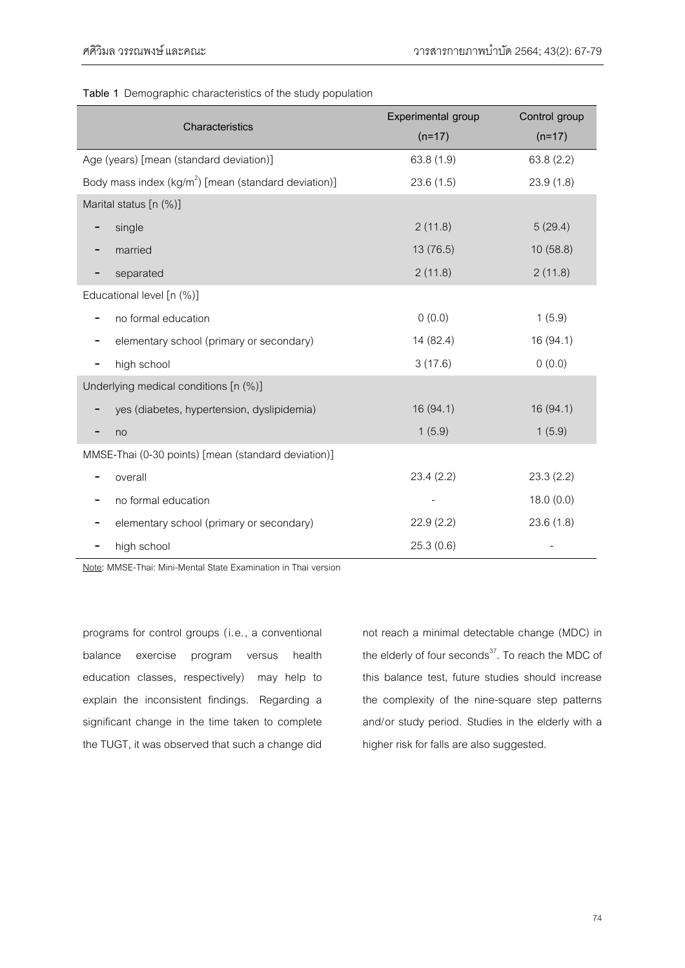|                                                          | Experimental group | Control group |
|----------------------------------------------------------|--------------------|---------------|
| Characteristics                                          | $(n=17)$           | $(n=17)$      |
| Age (years) [mean (standard deviation)]                  | 63.8 (1.9)         | 63.8 (2.2)    |
| Body mass index ( $kg/m^2$ ) [mean (standard deviation)] | 23.6(1.5)          | 23.9(1.8)     |
| Marital status [n (%)]                                   |                    |               |
| single<br>-                                              | 2(11.8)            | 5(29.4)       |
| married                                                  | 13 (76.5)          | 10(58.8)      |
| separated                                                | 2(11.8)            | 2(11.8)       |
| Educational level [n (%)]                                |                    |               |
| no formal education                                      | 0(0.0)             | 1(5.9)        |
| elementary school (primary or secondary)                 | 14 (82.4)          | 16 (94.1)     |
| high school                                              | 3(17.6)            | 0(0.0)        |
| Underlying medical conditions [n (%)]                    |                    |               |
| yes (diabetes, hypertension, dyslipidemia)               | 16 (94.1)          | 16 (94.1)     |
| no                                                       | 1(5.9)             | 1(5.9)        |
| MMSE-Thai (0-30 points) [mean (standard deviation)]      |                    |               |
| overall                                                  | 23.4 (2.2)         | 23.3(2.2)     |
| no formal education                                      |                    | 18.0(0.0)     |
| elementary school (primary or secondary)                 | 22.9(2.2)          | 23.6(1.8)     |
| high school                                              | 25.3(0.6)          |               |

**Table 1** Demographic characteristics of the study population

Note**:** MMSE-Thai: Mini-Mental State Examination in Thai version

programs for control groups (i.e., a conventional balance exercise program versus health education classes, respectively) may help to explain the inconsistent findings. Regarding a significant change in the time taken to complete the TUGT, it was observed that such a change did

not reach a minimal detectable change (MDC) in the elderly of four seconds $37$ . To reach the MDC of this balance test, future studies should increase the complexity of the nine-square step patterns and/or study period. Studies in the elderly with a higher risk for falls are also suggested.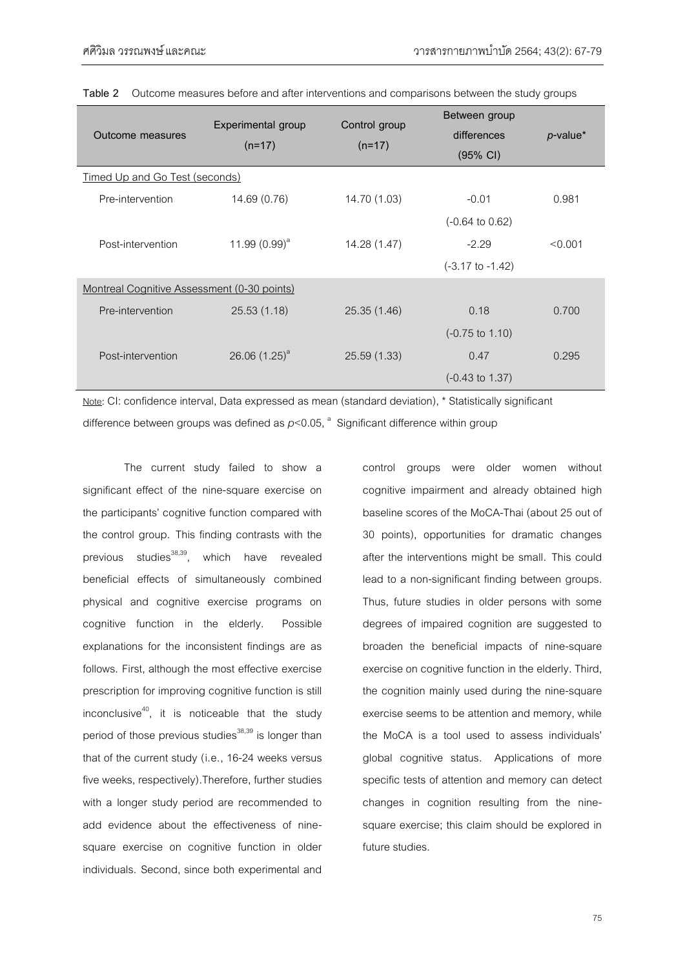| Outcome measures                            | Experimental group<br>$(n=17)$ | Control group<br>$(n=17)$ | Between group<br>differences<br>(95% CI) | <i>p</i> -value* |  |
|---------------------------------------------|--------------------------------|---------------------------|------------------------------------------|------------------|--|
| Timed Up and Go Test (seconds)              |                                |                           |                                          |                  |  |
| Pre-intervention                            | 14.69 (0.76)                   | 14.70 (1.03)              | $-0.01$                                  | 0.981            |  |
|                                             |                                |                           | $(-0.64 \text{ to } 0.62)$               |                  |  |
| Post-intervention                           | 11.99 $(0.99)^a$               | 14.28 (1.47)              | $-2.29$                                  | < 0.001          |  |
|                                             |                                |                           | $(-3.17 \text{ to } -1.42)$              |                  |  |
| Montreal Cognitive Assessment (0-30 points) |                                |                           |                                          |                  |  |
| Pre-intervention                            | 25.53(1.18)                    | 25.35 (1.46)              | 0.18                                     | 0.700            |  |
|                                             |                                |                           | $(-0.75 \text{ to } 1.10)$               |                  |  |
| Post-intervention                           | 26.06 $(1.25)^a$               | 25.59 (1.33)              | 0.47                                     | 0.295            |  |
|                                             |                                |                           | $(-0.43 \text{ to } 1.37)$               |                  |  |

**Table 2** Outcome measures before and after interventions and comparisons between the study groups

Note**:** CI: confidence interval, Data expressed as mean (standard deviation), \* Statistically significant difference between groups was defined as  $p<$  0.05,  $^{\text{a}}$  Significant difference within group

The current study failed to show a significant effect of the nine-square exercise on the participants' cognitive function compared with the control group. This finding contrasts with the previous studies $^{38,39}$ , which have revealed beneficial effects of simultaneously combined physical and cognitive exercise programs on cognitive function in the elderly. Possible explanations for the inconsistent findings are as follows. First, although the most effective exercise prescription for improving cognitive function is still inconclusive $40$ , it is noticeable that the study period of those previous studies $38,39$  is longer than that of the current study (i.e., 16-24 weeks versus five weeks, respectively).Therefore, further studies with a longer study period are recommended to add evidence about the effectiveness of ninesquare exercise on cognitive function in older individuals. Second, since both experimental and

control groups were older women without cognitive impairment and already obtained high baseline scores of the MoCA-Thai (about 25 out of 30 points), opportunities for dramatic changes after the interventions might be small. This could lead to a non-significant finding between groups. Thus, future studies in older persons with some degrees of impaired cognition are suggested to broaden the beneficial impacts of nine-square exercise on cognitive function in the elderly. Third, the cognition mainly used during the nine-square exercise seems to be attention and memory, while the MoCA is a tool used to assess individuals' global cognitive status. Applications of more specific tests of attention and memory can detect changes in cognition resulting from the ninesquare exercise; this claim should be explored in future studies.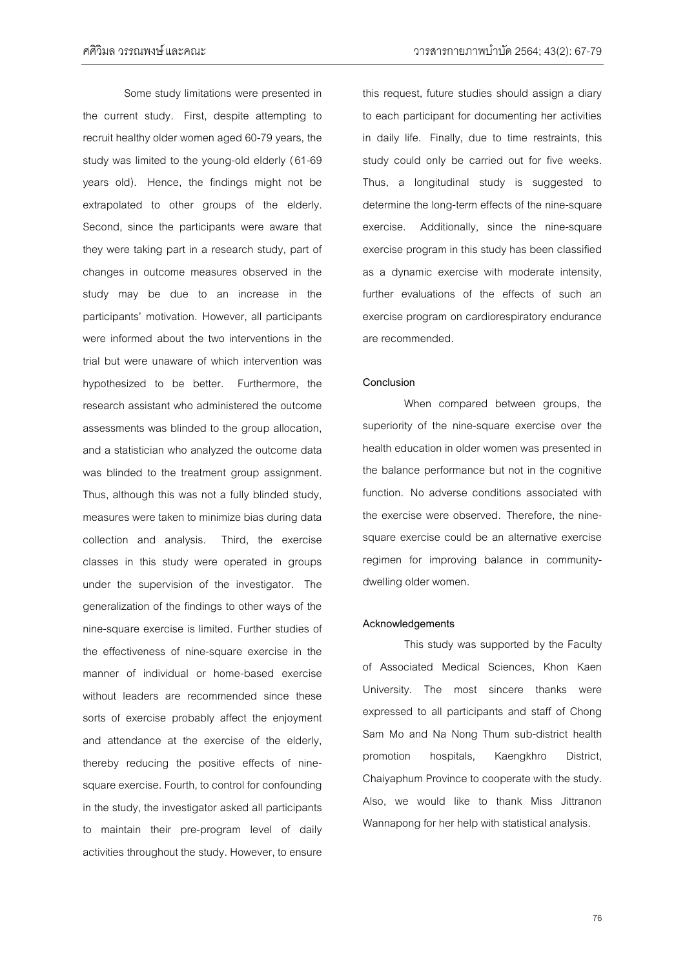ศศิวิมล วรรณพงษ์และคณะ วารสารกายภาพบ าบัด 2564; 43(2): 67-79

Some study limitations were presented in the current study. First, despite attempting to recruit healthy older women aged 60-79 years, the study was limited to the young-old elderly (61-69 years old). Hence, the findings might not be extrapolated to other groups of the elderly. Second, since the participants were aware that they were taking part in a research study, part of changes in outcome measures observed in the study may be due to an increase in the participants' motivation. However, all participants were informed about the two interventions in the trial but were unaware of which intervention was hypothesized to be better. Furthermore, the research assistant who administered the outcome assessments was blinded to the group allocation, and a statistician who analyzed the outcome data was blinded to the treatment group assignment. Thus, although this was not a fully blinded study, measures were taken to minimize bias during data collection and analysis. Third, the exercise classes in this study were operated in groups under the supervision of the investigator. The generalization of the findings to other ways of the nine-square exercise is limited. Further studies of the effectiveness of nine-square exercise in the manner of individual or home-based exercise without leaders are recommended since these sorts of exercise probably affect the enjoyment and attendance at the exercise of the elderly, thereby reducing the positive effects of ninesquare exercise. Fourth, to control for confounding in the study, the investigator asked all participants to maintain their pre-program level of daily activities throughout the study. However, to ensure

this request, future studies should assign a diary to each participant for documenting her activities in daily life. Finally, due to time restraints, this study could only be carried out for five weeks. Thus, a longitudinal study is suggested to determine the long-term effects of the nine-square exercise. Additionally, since the nine-square exercise program in this study has been classified as a dynamic exercise with moderate intensity, further evaluations of the effects of such an exercise program on cardiorespiratory endurance are recommended.

## **Conclusion**

When compared between groups, the superiority of the nine-square exercise over the health education in older women was presented in the balance performance but not in the cognitive function. No adverse conditions associated with the exercise were observed. Therefore, the ninesquare exercise could be an alternative exercise regimen for improving balance in communitydwelling older women.

## **Acknowledgements**

This study was supported by the Faculty of Associated Medical Sciences, Khon Kaen University. The most sincere thanks were expressed to all participants and staff of Chong Sam Mo and Na Nong Thum sub-district health promotion hospitals, Kaengkhro District, Chaiyaphum Province to cooperate with the study. Also, we would like to thank Miss Jittranon Wannapong for her help with statistical analysis.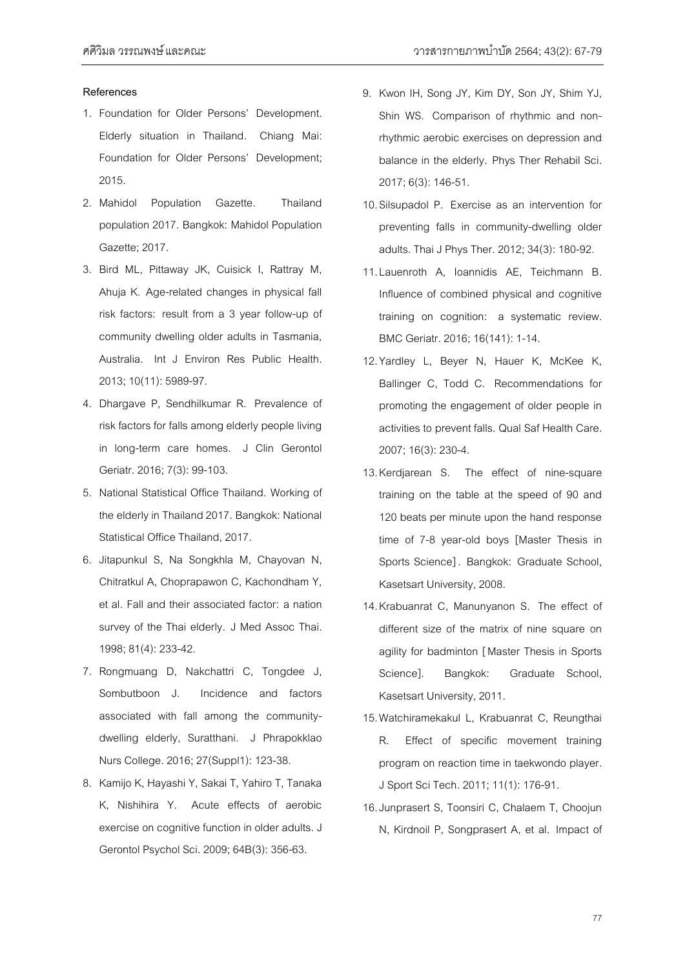#### **References**

- 1. Foundation for Older Persons' Development. Elderly situation in Thailand. Chiang Mai: Foundation for Older Persons' Development; 2015.
- 2. Mahidol Population Gazette. Thailand population 2017. Bangkok: Mahidol Population Gazette; 2017.
- 3. Bird ML, Pittaway JK, Cuisick I, Rattray M, Ahuja K. Age-related changes in physical fall risk factors: result from a 3 year follow-up of community dwelling older adults in Tasmania, Australia. Int J Environ Res Public Health. 2013; 10(11): 5989-97.
- 4. Dhargave P, Sendhilkumar R. Prevalence of risk factors for falls among elderly people living in long-term care homes. J Clin Gerontol Geriatr. 2016; 7(3): 99-103.
- 5. National Statistical Office Thailand. Working of the elderly in Thailand 2017. Bangkok: National Statistical Office Thailand, 2017.
- 6. Jitapunkul S, Na Songkhla M, Chayovan N, Chitratkul A, Choprapawon C, Kachondham Y, et al. Fall and their associated factor: a nation survey of the Thai elderly. J Med Assoc Thai. 1998; 81(4): 233-42.
- 7. Rongmuang D, Nakchattri C, Tongdee J, Sombutboon J. Incidence and factors associated with fall among the communitydwelling elderly, Suratthani. J Phrapokklao Nurs College.2016; 27(Suppl1): 123-38.
- 8. Kamijo K, Hayashi Y, Sakai T, Yahiro T, Tanaka K, Nishihira Y. Acute effects of aerobic exercise on cognitive function in older adults. J Gerontol Psychol Sci.2009; 64B(3): 356-63.
- 9. Kwon IH, Song JY, Kim DY, Son JY, Shim YJ, Shin WS. Comparison of rhythmic and nonrhythmic aerobic exercises on depression and balance in the elderly. Phys Ther Rehabil Sci. 2017; 6(3): 146-51.
- 10.Silsupadol P. Exercise as an intervention for preventing falls in community-dwelling older adults. Thai J Phys Ther.2012; 34(3): 180-92.
- 11.Lauenroth A, Ioannidis AE, Teichmann B. Influence of combined physical and cognitive training on cognition: a systematic review. BMC Geriatr.2016; 16(141): 1-14.
- 12.Yardley L, Beyer N, Hauer K, McKee K, Ballinger C, Todd C. Recommendations for promoting the engagement of older people in activities to prevent falls. Qual Saf Health Care. 2007; 16(3): 230-4.
- 13.Kerdjarean S. The effect of nine-square training on the table at the speed of 90 and 120 beats per minute upon the hand response time of 7-8 year-old boys [Master Thesis in Sports Science] . Bangkok: Graduate School, Kasetsart University, 2008.
- 14.Krabuanrat C, Manunyanon S. The effect of different size of the matrix of nine square on agility for badminton [Master Thesis in Sports Science]. Bangkok: Graduate School, Kasetsart University, 2011.
- 15.Watchiramekakul L, Krabuanrat C, Reungthai R. Effect of specific movement training program on reaction time in taekwondo player. J Sport Sci Tech.2011; 11(1): 176-91.
- 16.Junprasert S, Toonsiri C, Chalaem T, Choojun N, Kirdnoil P, Songprasert A, et al. Impact of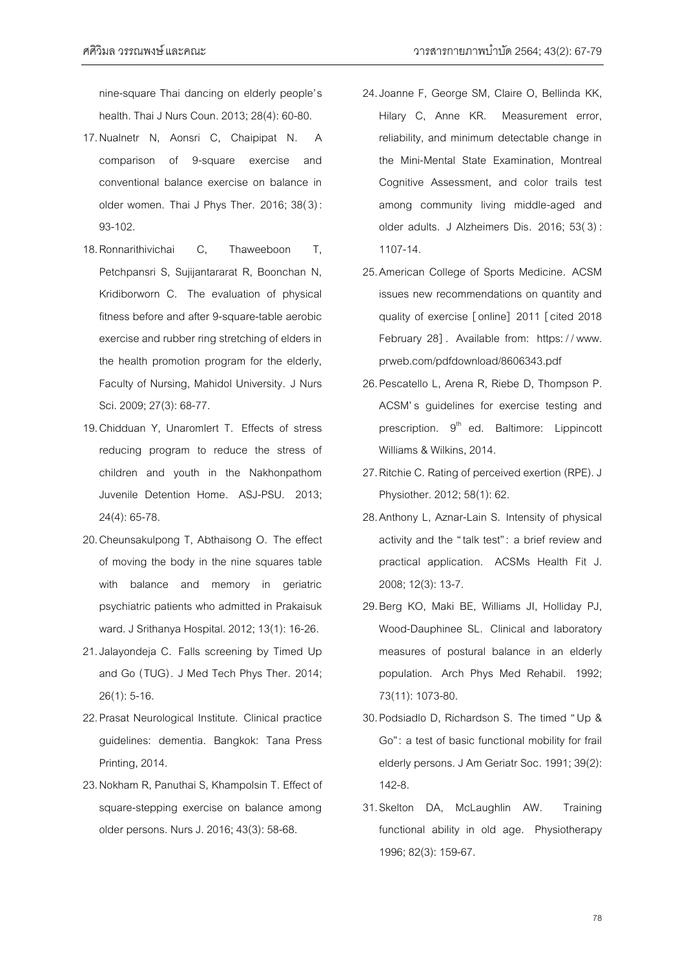nine-square Thai dancing on elderly people's health. Thai J Nurs Coun.2013; 28(4): 60-80.

- 17.Nualnetr N, Aonsri C, Chaipipat N. A comparison of 9-square exercise and conventional balance exercise on balance in older women. Thai J Phys Ther. 2016; 38(3) : 93-102.
- 18.Ronnarithivichai C, Thaweeboon T, Petchpansri S, Sujijantararat R, Boonchan N, Kridiborworn C. The evaluation of physical fitness before and after 9-square-table aerobic exercise and rubber ring stretching of elders in the health promotion program for the elderly, Faculty of Nursing, Mahidol University. J Nurs Sci.2009; 27(3): 68-77.
- 19.Chidduan Y, Unaromlert T. Effects of stress reducing program to reduce the stress of children and youth in the Nakhonpathom Juvenile Detention Home. ASJ-PSU. 2013; 24(4): 65-78.
- 20.Cheunsakulpong T, Abthaisong O. The effect of moving the body in the nine squares table with balance and memory in geriatric psychiatric patients who admitted in Prakaisuk ward. J Srithanya Hospital. 2012; 13(1): 16-26.
- 21.Jalayondeja C. Falls screening by Timed Up and Go (TUG). J Med Tech Phys Ther. 2014; 26(1): 5-16.
- 22.Prasat Neurological Institute. Clinical practice guidelines: dementia. Bangkok: Tana Press Printing, 2014.
- 23.Nokham R, Panuthai S, Khampolsin T. Effect of square-stepping exercise on balance among older persons. Nurs J. 2016; 43(3): 58-68.
- 24.Joanne F, George SM, Claire O, Bellinda KK, Hilary C, Anne KR. Measurement error, reliability, and minimum detectable change in the Mini-Mental State Examination, Montreal Cognitive Assessment, and color trails test among community living middle-aged and older adults. J Alzheimers Dis. 2016; 53(3) : 1107-14.
- 25.American College of Sports Medicine. ACSM issues new recommendations on quantity and quality of exercise [online] 2011 [cited 2018 February 28]. Available from: https://www. prweb.com/pdfdownload/8606343.pdf
- 26.Pescatello L, Arena R, Riebe D, Thompson P. ACSM's guidelines for exercise testing and prescription. 9<sup>th</sup> ed. Baltimore: Lippincott Williams & Wilkins, 2014.
- 27.Ritchie C. Rating of perceived exertion (RPE). J Physiother. 2012; 58(1): 62.
- 28.Anthony L, Aznar-Lain S. Intensity of physical activity and the "talk test" : a brief review and practical application. ACSMs Health Fit J. 2008; 12(3): 13-7.
- 29.Berg KO, Maki BE, Williams JI, Holliday PJ, Wood-Dauphinee SL. Clinical and laboratory measures of postural balance in an elderly population. Arch Phys Med Rehabil. 1992; 73(11): 1073-80.
- 30.Podsiadlo D, Richardson S. The timed "Up & Go": a test of basic functional mobility for frail elderly persons. J Am Geriatr Soc.1991; 39(2): 142-8.
- 31.Skelton DA, McLaughlin AW. Training functional ability in old age. Physiotherapy 1996; 82(3): 159-67.